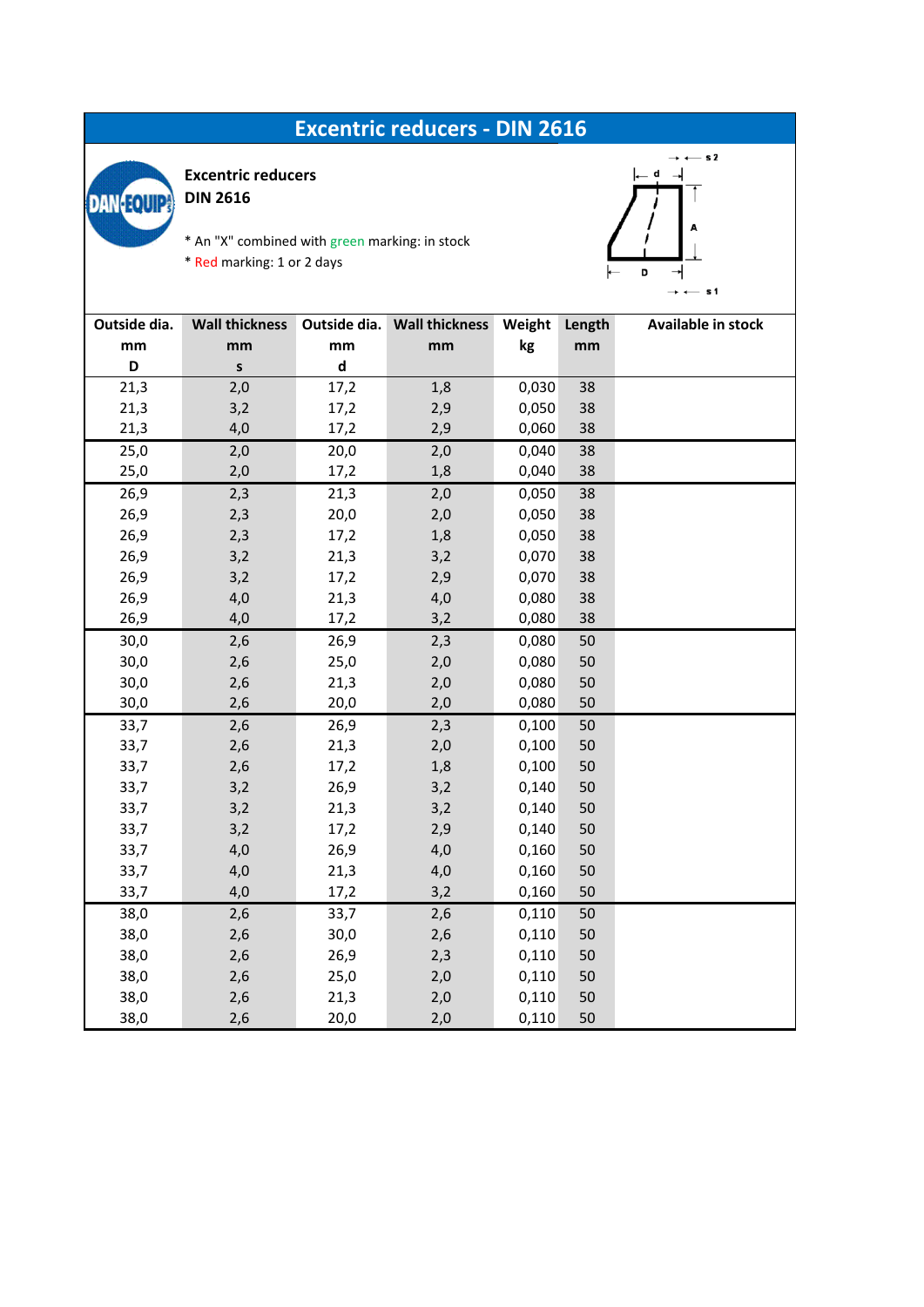## **Excentric reducers - DIN 2616**



**Excentric reducers**

**DIN 2616**

\* An "X" combined with green marking: in stock

\* Red marking: 1 or 2 days



| Outside dia. | <b>Wall thickness</b> |                                 | Outside dia. Wall thickness | Weight | Length | Available in stock |
|--------------|-----------------------|---------------------------------|-----------------------------|--------|--------|--------------------|
| mm           | mm                    | $\mathop{\mathsf{mm}}\nolimits$ | mm                          | kg     | mm     |                    |
| D            | $\sf s$               | $\operatorname{\mathsf{d}}$     |                             |        |        |                    |
| 21,3         | 2,0                   | 17,2                            | 1,8                         | 0,030  | 38     |                    |
| 21,3         | 3,2                   | 17,2                            | 2,9                         | 0,050  | 38     |                    |
| 21,3         | 4,0                   | 17,2                            | 2,9                         | 0,060  | 38     |                    |
| 25,0         | 2,0                   | 20,0                            | 2,0                         | 0,040  | 38     |                    |
| 25,0         | 2,0                   | 17,2                            | 1,8                         | 0,040  | 38     |                    |
| 26,9         | 2,3                   | 21,3                            | 2,0                         | 0,050  | 38     |                    |
| 26,9         | 2,3                   | 20,0                            | 2,0                         | 0,050  | 38     |                    |
| 26,9         | 2,3                   | 17,2                            | 1,8                         | 0,050  | 38     |                    |
| 26,9         | 3,2                   | 21,3                            | 3,2                         | 0,070  | 38     |                    |
| 26,9         | 3,2                   | 17,2                            | 2,9                         | 0,070  | 38     |                    |
| 26,9         | 4,0                   | 21,3                            | 4,0                         | 0,080  | 38     |                    |
| 26,9         | 4,0                   | 17,2                            | 3,2                         | 0,080  | 38     |                    |
| 30,0         | 2,6                   | 26,9                            | 2,3                         | 0,080  | 50     |                    |
| 30,0         | 2,6                   | 25,0                            | 2,0                         | 0,080  | 50     |                    |
| 30,0         | 2,6                   | 21,3                            | 2,0                         | 0,080  | 50     |                    |
| 30,0         | 2,6                   | 20,0                            | 2,0                         | 0,080  | 50     |                    |
| 33,7         | 2,6                   | 26,9                            | 2,3                         | 0,100  | 50     |                    |
| 33,7         | 2,6                   | 21,3                            | 2,0                         | 0,100  | 50     |                    |
| 33,7         | 2,6                   | 17,2                            | 1,8                         | 0,100  | 50     |                    |
| 33,7         | 3,2                   | 26,9                            | 3,2                         | 0,140  | 50     |                    |
| 33,7         | 3,2                   | 21,3                            | 3,2                         | 0,140  | 50     |                    |
| 33,7         | 3,2                   | 17,2                            | 2,9                         | 0,140  | 50     |                    |
| 33,7         | 4,0                   | 26,9                            | 4,0                         | 0,160  | 50     |                    |
| 33,7         | 4,0                   | 21,3                            | 4,0                         | 0,160  | 50     |                    |
| 33,7         | 4,0                   | 17,2                            | 3,2                         | 0,160  | 50     |                    |
| 38,0         | 2,6                   | 33,7                            | 2,6                         | 0,110  | 50     |                    |
| 38,0         | 2,6                   | 30,0                            | 2,6                         | 0,110  | 50     |                    |
| 38,0         | 2,6                   | 26,9                            | 2,3                         | 0,110  | 50     |                    |
| 38,0         | 2,6                   | 25,0                            | 2,0                         | 0,110  | 50     |                    |
| 38,0         | 2,6                   | 21,3                            | 2,0                         | 0,110  | 50     |                    |
| 38,0         | 2,6                   | 20,0                            | 2,0                         | 0,110  | 50     |                    |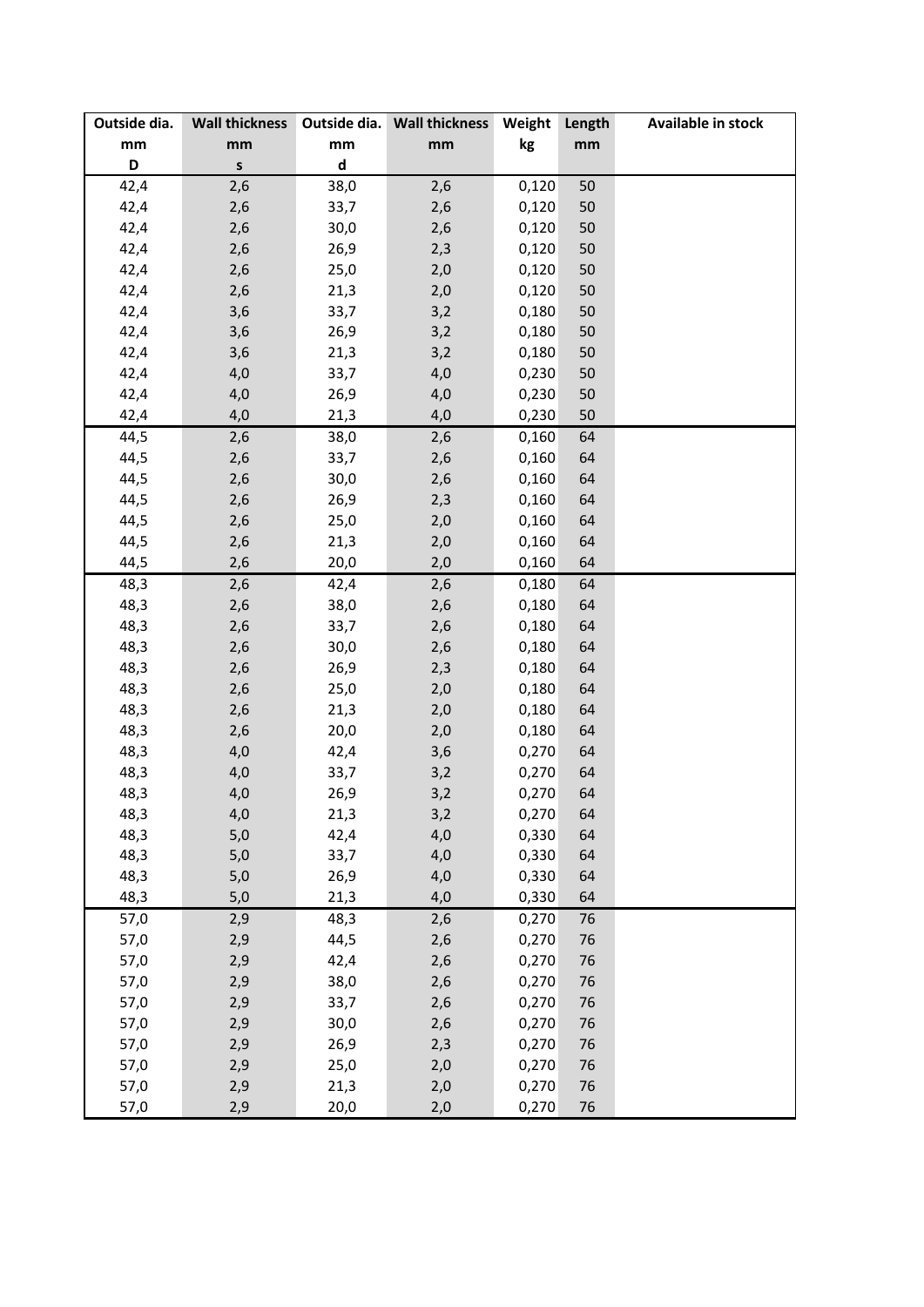| Outside dia.                    |                                 |                             | Wall thickness Outside dia. Wall thickness | Weight | Length | Available in stock |
|---------------------------------|---------------------------------|-----------------------------|--------------------------------------------|--------|--------|--------------------|
| $\mathop{\mathsf{mm}}\nolimits$ | $\mathop{\mathsf{mm}}\nolimits$ | mm                          | mm                                         | kg     | mm     |                    |
| D                               | $\mathsf{s}$                    | $\operatorname{\mathsf{d}}$ |                                            |        |        |                    |
| 42,4                            | 2,6                             | 38,0                        | 2,6                                        | 0,120  | 50     |                    |
| 42,4                            | 2,6                             | 33,7                        | 2,6                                        | 0,120  | 50     |                    |
| 42,4                            | 2,6                             | 30,0                        | 2,6                                        | 0,120  | 50     |                    |
| 42,4                            | 2,6                             | 26,9                        | 2,3                                        | 0,120  | 50     |                    |
| 42,4                            | 2,6                             | 25,0                        | 2,0                                        | 0,120  | 50     |                    |
| 42,4                            | 2,6                             | 21,3                        | 2,0                                        | 0,120  | 50     |                    |
| 42,4                            | 3,6                             | 33,7                        | 3,2                                        | 0,180  | 50     |                    |
| 42,4                            | 3,6                             | 26,9                        | 3,2                                        | 0,180  | 50     |                    |
| 42,4                            | 3,6                             | 21,3                        | 3,2                                        | 0,180  | 50     |                    |
| 42,4                            | 4,0                             | 33,7                        | 4,0                                        | 0,230  | 50     |                    |
| 42,4                            | 4,0                             | 26,9                        | 4,0                                        | 0,230  | 50     |                    |
| 42,4                            | 4,0                             | 21,3                        | 4,0                                        | 0,230  | 50     |                    |
| 44,5                            | 2,6                             | 38,0                        | 2,6                                        | 0,160  | 64     |                    |
| 44,5                            | 2,6                             | 33,7                        | 2,6                                        | 0,160  | 64     |                    |
| 44,5                            | 2,6                             | 30,0                        | 2,6                                        | 0,160  | 64     |                    |
| 44,5                            | 2,6                             | 26,9                        | 2,3                                        | 0,160  | 64     |                    |
| 44,5                            | 2,6                             | 25,0                        | 2,0                                        | 0,160  | 64     |                    |
| 44,5                            | 2,6                             | 21,3                        | 2,0                                        | 0,160  | 64     |                    |
| 44,5                            | 2,6                             | 20,0                        | 2,0                                        | 0,160  | 64     |                    |
| 48,3                            | 2,6                             | 42,4                        | 2,6                                        | 0,180  | 64     |                    |
| 48,3                            | 2,6                             | 38,0                        | 2,6                                        | 0,180  | 64     |                    |
| 48,3                            | 2,6                             | 33,7                        | 2,6                                        | 0,180  | 64     |                    |
| 48,3                            | 2,6                             | 30,0                        | 2,6                                        | 0,180  | 64     |                    |
| 48,3                            | 2,6                             | 26,9                        | 2,3                                        | 0,180  | 64     |                    |
| 48,3                            | 2,6                             | 25,0                        | 2,0                                        | 0,180  | 64     |                    |
| 48,3                            | 2,6                             | 21,3                        | 2,0                                        | 0,180  | 64     |                    |
| 48,3                            | 2,6                             | 20,0                        | 2,0                                        | 0,180  | 64     |                    |
| 48,3                            | 4,0                             | 42,4                        | 3,6                                        | 0,270  | 64     |                    |
| 48,3                            | 4,0                             | 33,7                        | 3,2                                        | 0,270  | 64     |                    |
| 48,3                            | 4,0                             | 26,9                        | 3,2                                        | 0,270  | 64     |                    |
| 48,3                            | 4,0                             | 21,3                        | 3,2                                        | 0,270  | 64     |                    |
| 48,3                            | 5,0                             | 42,4                        | 4,0                                        | 0,330  | 64     |                    |
| 48,3                            | 5,0                             | 33,7                        | 4,0                                        | 0,330  | 64     |                    |
| 48,3                            | 5,0                             | 26,9                        | 4,0                                        | 0,330  | 64     |                    |
| 48,3                            | 5,0                             | 21,3                        | 4,0                                        | 0,330  | 64     |                    |
| 57,0                            | 2,9                             | 48,3                        | 2,6                                        | 0,270  | 76     |                    |
| 57,0                            | 2,9                             | 44,5                        | 2,6                                        | 0,270  | 76     |                    |
| 57,0                            | 2,9                             | 42,4                        | 2,6                                        | 0,270  | 76     |                    |
| 57,0                            | 2,9                             | 38,0                        | 2,6                                        | 0,270  | 76     |                    |
| 57,0                            | 2,9                             | 33,7                        | 2,6                                        | 0,270  | 76     |                    |
| 57,0                            | 2,9                             | 30,0                        | 2,6                                        | 0,270  | 76     |                    |
| 57,0                            | 2,9                             | 26,9                        | 2,3                                        | 0,270  | 76     |                    |
| 57,0                            | 2,9                             | 25,0                        | 2,0                                        | 0,270  | 76     |                    |
| 57,0                            | 2,9                             | 21,3                        | 2,0                                        | 0,270  | 76     |                    |
| 57,0                            | 2,9                             | 20,0                        | 2,0                                        | 0,270  | 76     |                    |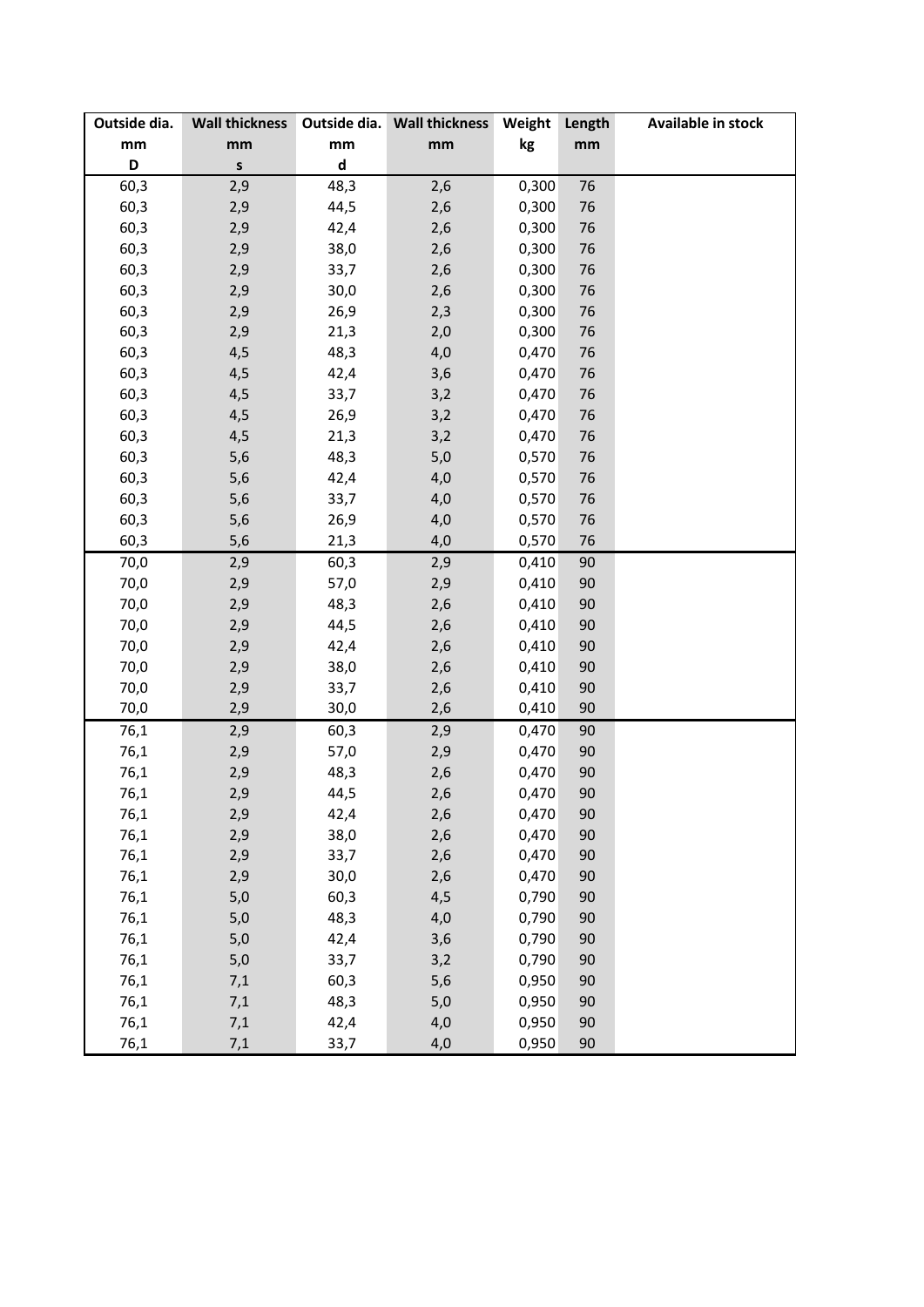| Outside dia. | <b>Wall thickness</b> |             | Outside dia. Wall thickness | Weight | Length | Available in stock |
|--------------|-----------------------|-------------|-----------------------------|--------|--------|--------------------|
| mm           | mm                    | mm          | mm                          | kg     | mm     |                    |
| D            | S                     | $\mathsf d$ |                             |        |        |                    |
| 60,3         | 2,9                   | 48,3        | 2,6                         | 0,300  | 76     |                    |
| 60,3         | 2,9                   | 44,5        | 2,6                         | 0,300  | 76     |                    |
| 60,3         | 2,9                   | 42,4        | 2,6                         | 0,300  | 76     |                    |
| 60,3         | 2,9                   | 38,0        | 2,6                         | 0,300  | 76     |                    |
| 60,3         | 2,9                   | 33,7        | 2,6                         | 0,300  | 76     |                    |
| 60,3         | 2,9                   | 30,0        | 2,6                         | 0,300  | 76     |                    |
| 60,3         | 2,9                   | 26,9        | 2,3                         | 0,300  | 76     |                    |
| 60,3         | 2,9                   | 21,3        | 2,0                         | 0,300  | 76     |                    |
| 60,3         | 4,5                   | 48,3        | 4,0                         | 0,470  | 76     |                    |
| 60,3         | 4,5                   | 42,4        | 3,6                         | 0,470  | 76     |                    |
| 60,3         | 4,5                   | 33,7        | 3,2                         | 0,470  | 76     |                    |
| 60,3         | 4,5                   | 26,9        | 3,2                         | 0,470  | 76     |                    |
| 60,3         | 4,5                   | 21,3        | 3,2                         | 0,470  | 76     |                    |
| 60,3         | 5,6                   | 48,3        | $5,0$                       | 0,570  | 76     |                    |
| 60,3         | 5,6                   | 42,4        | 4,0                         | 0,570  | 76     |                    |
| 60,3         | 5,6                   | 33,7        | 4,0                         | 0,570  | 76     |                    |
| 60,3         | 5,6                   | 26,9        | 4,0                         | 0,570  | 76     |                    |
| 60,3         | 5,6                   | 21,3        | 4,0                         | 0,570  | 76     |                    |
| 70,0         | 2,9                   | 60,3        | 2,9                         | 0,410  | 90     |                    |
| 70,0         | 2,9                   | 57,0        | 2,9                         | 0,410  | 90     |                    |
| 70,0         | 2,9                   | 48,3        | 2,6                         | 0,410  | 90     |                    |
| 70,0         | 2,9                   | 44,5        | 2,6                         | 0,410  | 90     |                    |
| 70,0         | 2,9                   | 42,4        | 2,6                         | 0,410  | 90     |                    |
| 70,0         | 2,9                   | 38,0        | 2,6                         | 0,410  | 90     |                    |
| 70,0         | 2,9                   | 33,7        | 2,6                         | 0,410  | 90     |                    |
| 70,0         | 2,9                   | 30,0        | 2,6                         | 0,410  | 90     |                    |
| 76,1         | 2,9                   | 60,3        | 2,9                         | 0,470  | 90     |                    |
| 76,1         | 2,9                   | 57,0        | 2,9                         | 0,470  | 90     |                    |
| 76,1         | 2,9                   | 48,3        | 2,6                         | 0,470  | 90     |                    |
| 76,1         | 2,9                   | 44,5        | 2,6                         | 0,470  | 90     |                    |
| 76,1         | 2,9                   | 42,4        | 2,6                         | 0,470  | 90     |                    |
| 76,1         | 2,9                   | 38,0        | 2,6                         | 0,470  | 90     |                    |
| 76,1         | 2,9                   | 33,7        | 2,6                         | 0,470  | 90     |                    |
| 76,1         | 2,9                   | 30,0        | 2,6                         | 0,470  | 90     |                    |
| 76,1         | 5,0                   | 60,3        | 4,5                         | 0,790  | 90     |                    |
| 76,1         | 5,0                   | 48,3        | 4,0                         | 0,790  | 90     |                    |
| 76,1         | 5,0                   | 42,4        | 3,6                         | 0,790  | 90     |                    |
| 76,1         | 5,0                   | 33,7        | 3,2                         | 0,790  | 90     |                    |
| 76,1         | 7,1                   | 60,3        | 5,6                         | 0,950  | 90     |                    |
| 76,1         | 7,1                   | 48,3        | 5,0                         | 0,950  | 90     |                    |
| 76,1         | 7,1                   | 42,4        | 4,0                         | 0,950  | 90     |                    |
| 76,1         | 7,1                   | 33,7        | 4,0                         | 0,950  | 90     |                    |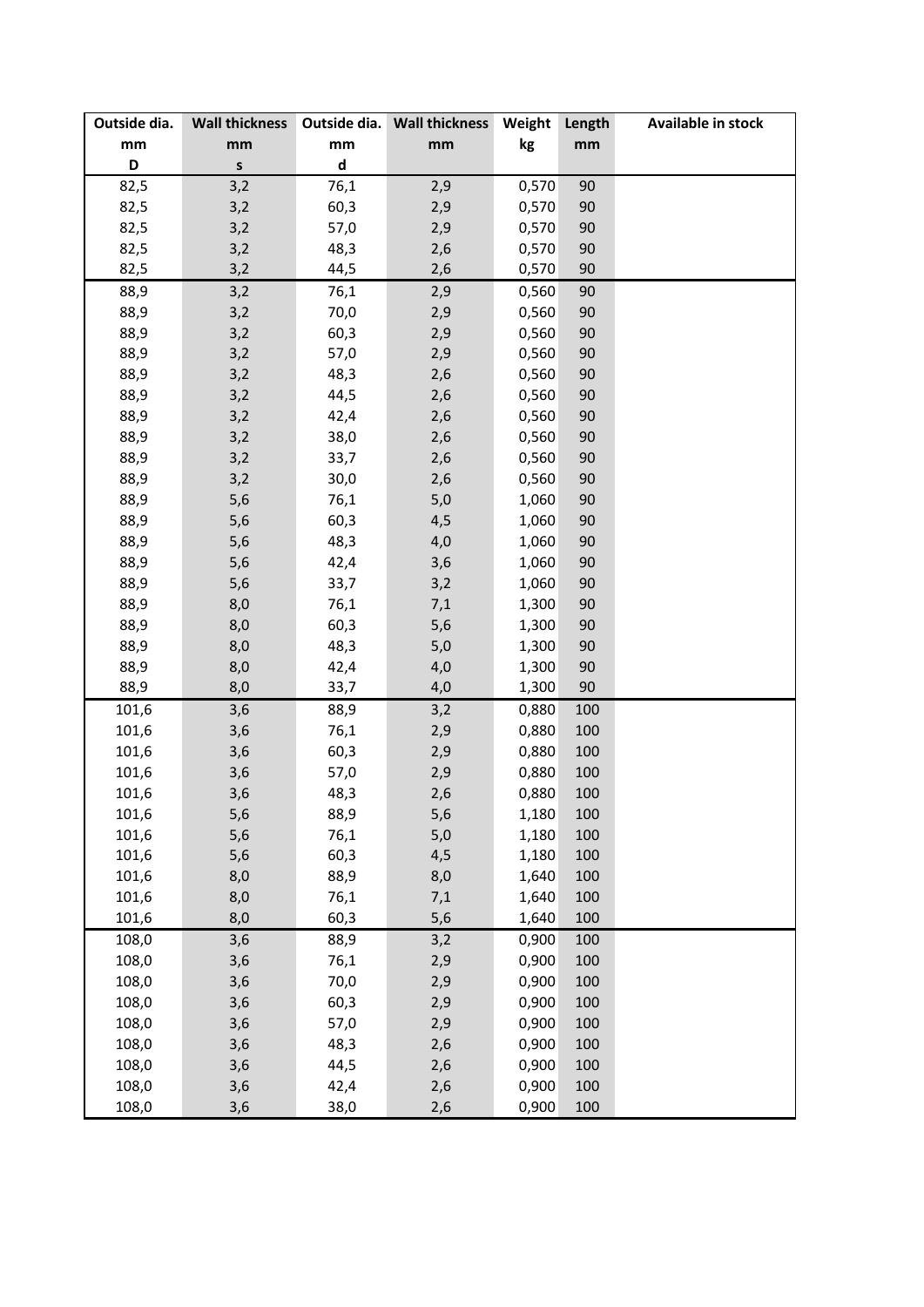| Outside dia.                  | <b>Wall thickness</b> |                             | Outside dia. Wall thickness | Weight         | Length     | Available in stock |
|-------------------------------|-----------------------|-----------------------------|-----------------------------|----------------|------------|--------------------|
| $\mathop{\text{mm}}\nolimits$ | mm                    | mm                          | mm                          | kg             | mm         |                    |
| D                             | $\sf S$               | $\operatorname{\mathsf{d}}$ |                             |                |            |                    |
| 82,5                          | 3,2                   | 76,1                        | 2,9                         | 0,570          | 90         |                    |
| 82,5                          | 3,2                   | 60,3                        | 2,9                         | 0,570          | 90         |                    |
| 82,5                          | 3,2                   | 57,0                        | 2,9                         | 0,570          | 90         |                    |
| 82,5                          | 3,2                   | 48,3                        | 2,6                         | 0,570          | 90         |                    |
| 82,5                          | 3,2                   | 44,5                        | 2,6                         | 0,570          | 90         |                    |
| 88,9                          | 3,2                   | 76,1                        | 2,9                         | 0,560          | 90         |                    |
| 88,9                          | 3,2                   | 70,0                        | 2,9                         | 0,560          | 90         |                    |
| 88,9                          | 3,2                   | 60,3                        | 2,9                         | 0,560          | 90         |                    |
| 88,9                          | 3,2                   | 57,0                        | 2,9                         | 0,560          | 90         |                    |
| 88,9                          | 3,2                   | 48,3                        | 2,6                         | 0,560          | 90         |                    |
| 88,9                          | 3,2                   | 44,5                        | 2,6                         | 0,560          | 90         |                    |
| 88,9                          | 3,2                   | 42,4                        | 2,6                         | 0,560          | 90         |                    |
| 88,9                          | 3,2                   | 38,0                        | 2,6                         | 0,560          | 90         |                    |
| 88,9                          | 3,2                   | 33,7                        | 2,6                         | 0,560          | 90         |                    |
| 88,9                          | 3,2                   | 30,0                        | 2,6                         | 0,560          | 90         |                    |
| 88,9                          | 5,6                   | 76,1                        | 5,0                         | 1,060          | 90         |                    |
| 88,9                          | 5,6                   | 60,3                        | 4,5                         | 1,060          | 90         |                    |
| 88,9                          | 5,6                   | 48,3                        | 4,0                         | 1,060          | 90         |                    |
| 88,9                          | 5,6                   | 42,4                        | 3,6                         | 1,060          | 90         |                    |
| 88,9                          | 5,6                   | 33,7                        | 3,2                         | 1,060          | 90         |                    |
| 88,9                          | 8,0                   | 76,1                        | 7,1                         | 1,300          | 90         |                    |
| 88,9                          | 8,0                   | 60,3                        | 5,6                         | 1,300          | 90         |                    |
| 88,9                          | 8,0                   | 48,3                        | 5,0                         | 1,300          | 90         |                    |
| 88,9                          | 8,0                   | 42,4                        | 4,0                         | 1,300          | 90         |                    |
| 88,9                          | 8,0                   | 33,7                        | 4,0                         | 1,300          | 90         |                    |
| 101,6                         | 3,6                   | 88,9                        | 3,2                         | 0,880          | 100        |                    |
| 101,6                         | 3,6                   | 76,1                        | 2,9                         | 0,880          | 100        |                    |
| 101,6                         | 3,6                   | 60,3                        | 2,9                         | 0,880          | 100        |                    |
| 101,6                         | 3,6                   | 57,0                        | 2,9                         | 0,880          | 100        |                    |
| 101,6                         | 3,6                   | 48,3                        | 2,6                         | 0,880          | 100        |                    |
| 101,6                         | 5,6                   | 88,9                        | 5,6                         | 1,180          | 100        |                    |
| 101,6                         | 5,6                   | 76,1                        | 5,0                         | 1,180          | 100        |                    |
|                               |                       |                             |                             |                |            |                    |
| 101,6<br>101,6                | 5,6                   | 60,3                        | 4,5                         | 1,180<br>1,640 | 100<br>100 |                    |
|                               | 8,0                   | 88,9                        | 8,0                         |                | 100        |                    |
| 101,6                         | 8,0                   | 76,1                        | 7,1                         | 1,640          |            |                    |
| 101,6                         | 8,0                   | 60,3                        | 5,6                         | 1,640          | 100        |                    |
| 108,0                         | 3,6                   | 88,9                        | 3,2                         | 0,900          | 100        |                    |
| 108,0                         | 3,6                   | 76,1                        | 2,9                         | 0,900          | 100        |                    |
| 108,0                         | 3,6                   | 70,0                        | 2,9                         | 0,900          | 100        |                    |
| 108,0                         | 3,6                   | 60,3                        | 2,9                         | 0,900          | 100        |                    |
| 108,0                         | 3,6                   | 57,0                        | 2,9                         | 0,900          | 100        |                    |
| 108,0                         | 3,6                   | 48,3                        | 2,6                         | 0,900          | 100        |                    |
| 108,0                         | 3,6                   | 44,5                        | 2,6                         | 0,900          | 100        |                    |
| 108,0                         | 3,6                   | 42,4                        | 2,6                         | 0,900          | 100        |                    |
| 108,0                         | 3,6                   | 38,0                        | 2,6                         | 0,900          | 100        |                    |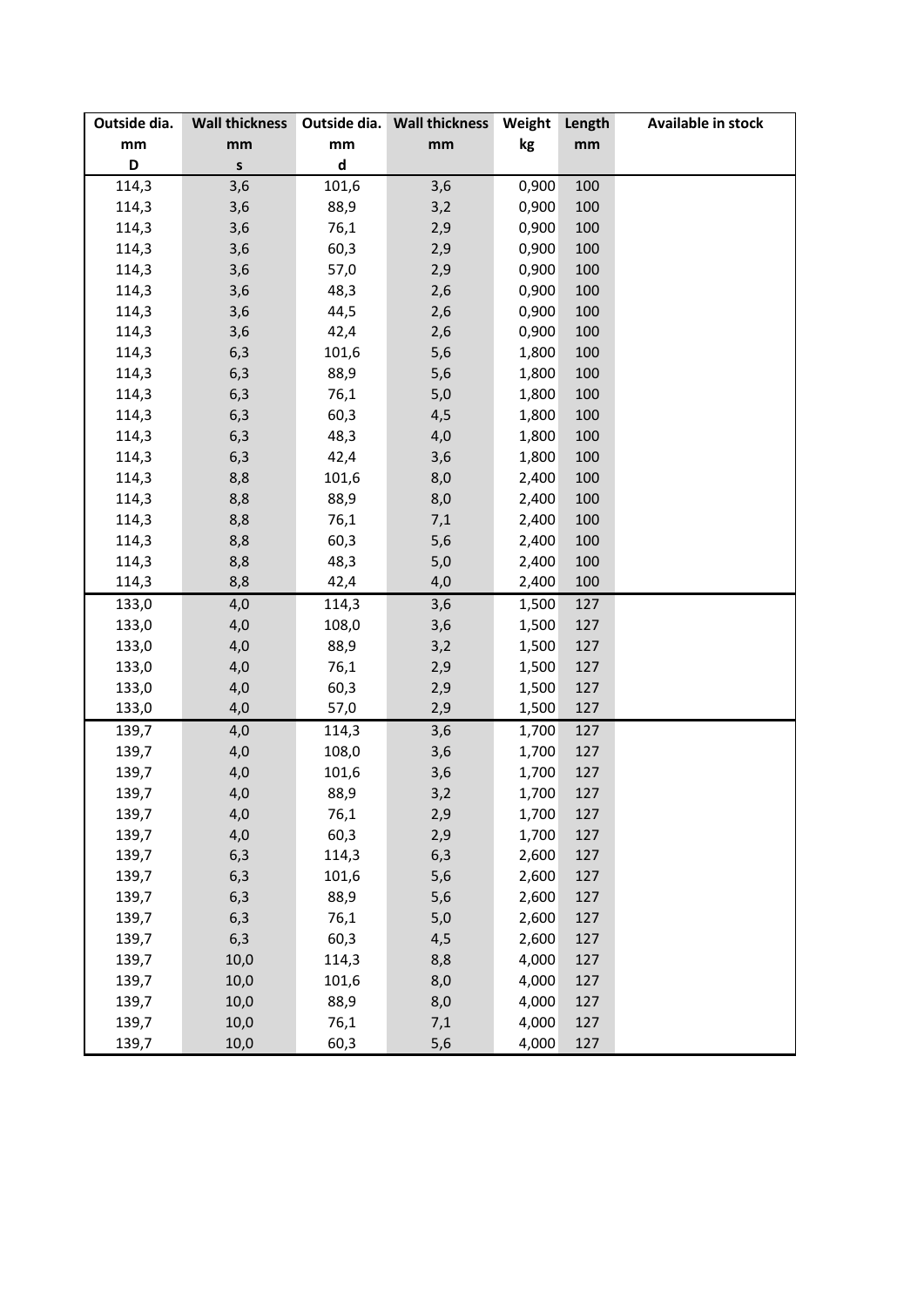| Outside dia. | <b>Wall thickness</b> |                             | Outside dia. Wall thickness | Weight | Length | Available in stock |
|--------------|-----------------------|-----------------------------|-----------------------------|--------|--------|--------------------|
| mm           | mm                    | mm                          | mm                          | kg     | mm     |                    |
| D            | $\mathsf{s}$          | $\operatorname{\mathsf{d}}$ |                             |        |        |                    |
| 114,3        | 3,6                   | 101,6                       | 3,6                         | 0,900  | 100    |                    |
| 114,3        | 3,6                   | 88,9                        | 3,2                         | 0,900  | 100    |                    |
| 114,3        | 3,6                   | 76,1                        | 2,9                         | 0,900  | 100    |                    |
| 114,3        | 3,6                   | 60,3                        | 2,9                         | 0,900  | 100    |                    |
| 114,3        | 3,6                   | 57,0                        | 2,9                         | 0,900  | 100    |                    |
| 114,3        | 3,6                   | 48,3                        | 2,6                         | 0,900  | 100    |                    |
| 114,3        | 3,6                   | 44,5                        | 2,6                         | 0,900  | 100    |                    |
| 114,3        | 3,6                   | 42,4                        | 2,6                         | 0,900  | 100    |                    |
| 114,3        | 6,3                   | 101,6                       | 5,6                         | 1,800  | 100    |                    |
| 114,3        | 6,3                   | 88,9                        | 5,6                         | 1,800  | 100    |                    |
| 114,3        | 6,3                   | 76,1                        | 5,0                         | 1,800  | 100    |                    |
| 114,3        | 6,3                   | 60,3                        | 4,5                         | 1,800  | 100    |                    |
| 114,3        | 6,3                   | 48,3                        | 4,0                         | 1,800  | 100    |                    |
| 114,3        | 6,3                   | 42,4                        | 3,6                         | 1,800  | 100    |                    |
| 114,3        | 8,8                   | 101,6                       | 8,0                         | 2,400  | 100    |                    |
| 114,3        | 8,8                   | 88,9                        | 8,0                         | 2,400  | 100    |                    |
| 114,3        | 8,8                   | 76,1                        | 7,1                         | 2,400  | 100    |                    |
| 114,3        | 8,8                   | 60,3                        | 5,6                         | 2,400  | 100    |                    |
| 114,3        | 8,8                   | 48,3                        | 5,0                         | 2,400  | 100    |                    |
| 114,3        | 8,8                   | 42,4                        | 4,0                         | 2,400  | 100    |                    |
| 133,0        | 4,0                   | 114,3                       | 3,6                         | 1,500  | 127    |                    |
| 133,0        | 4,0                   | 108,0                       | 3,6                         | 1,500  | 127    |                    |
| 133,0        | 4,0                   | 88,9                        | 3,2                         | 1,500  | 127    |                    |
| 133,0        | 4,0                   | 76,1                        | 2,9                         | 1,500  | 127    |                    |
| 133,0        | 4,0                   | 60,3                        | 2,9                         | 1,500  | 127    |                    |
| 133,0        | 4,0                   | 57,0                        | 2,9                         | 1,500  | 127    |                    |
| 139,7        | 4,0                   | 114,3                       | 3,6                         | 1,700  | 127    |                    |
| 139,7        | 4,0                   | 108,0                       | 3,6                         | 1,700  | 127    |                    |
| 139,7        | 4,0                   | 101,6                       | 3,6                         | 1,700  | 127    |                    |
| 139,7        | 4,0                   | 88,9                        | 3,2                         | 1,700  | 127    |                    |
| 139,7        | 4,0                   | 76,1                        | 2,9                         | 1,700  | 127    |                    |
| 139,7        | 4,0                   | 60,3                        | 2,9                         | 1,700  | 127    |                    |
| 139,7        | 6,3                   | 114,3                       | 6,3                         | 2,600  | 127    |                    |
| 139,7        | 6,3                   | 101,6                       | 5,6                         | 2,600  | 127    |                    |
| 139,7        | 6,3                   | 88,9                        | 5,6                         | 2,600  | 127    |                    |
| 139,7        | 6,3                   | 76,1                        | 5,0                         | 2,600  | 127    |                    |
| 139,7        | 6,3                   | 60,3                        | 4,5                         | 2,600  | 127    |                    |
| 139,7        | 10,0                  | 114,3                       | 8,8                         | 4,000  | 127    |                    |
| 139,7        | 10,0                  | 101,6                       | 8,0                         | 4,000  | 127    |                    |
| 139,7        | 10,0                  | 88,9                        | 8,0                         | 4,000  | 127    |                    |
| 139,7        | 10,0                  | 76,1                        | 7,1                         | 4,000  | 127    |                    |
| 139,7        | 10,0                  | 60,3                        | 5,6                         | 4,000  | 127    |                    |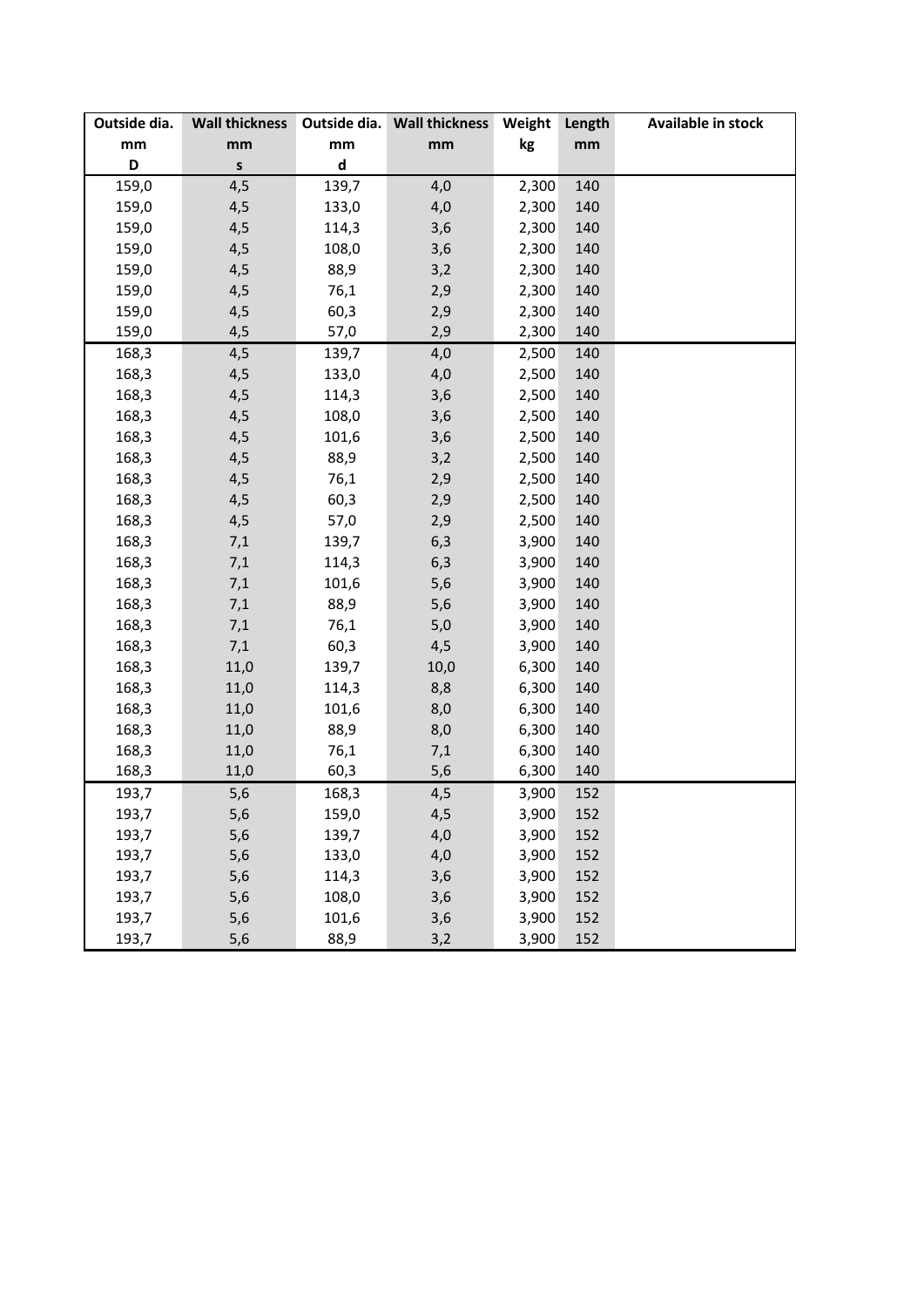| Outside dia. | <b>Wall thickness</b> |                             | Outside dia. Wall thickness | Weight | Length | <b>Available in stock</b> |
|--------------|-----------------------|-----------------------------|-----------------------------|--------|--------|---------------------------|
| mm           | mm                    | mm                          | mm                          | kg     | mm     |                           |
| D            | S                     | $\operatorname{\mathsf{d}}$ |                             |        |        |                           |
| 159,0        | 4,5                   | 139,7                       | 4,0                         | 2,300  | 140    |                           |
| 159,0        | 4,5                   | 133,0                       | 4,0                         | 2,300  | 140    |                           |
| 159,0        | 4,5                   | 114,3                       | 3,6                         | 2,300  | 140    |                           |
| 159,0        | 4,5                   | 108,0                       | 3,6                         | 2,300  | 140    |                           |
| 159,0        | 4,5                   | 88,9                        | 3,2                         | 2,300  | 140    |                           |
| 159,0        | 4,5                   | 76,1                        | 2,9                         | 2,300  | 140    |                           |
| 159,0        | 4,5                   | 60,3                        | 2,9                         | 2,300  | 140    |                           |
| 159,0        | 4,5                   | 57,0                        | 2,9                         | 2,300  | 140    |                           |
| 168,3        | 4,5                   | 139,7                       | 4,0                         | 2,500  | 140    |                           |
| 168,3        | 4,5                   | 133,0                       | 4,0                         | 2,500  | 140    |                           |
| 168,3        | 4,5                   | 114,3                       | 3,6                         | 2,500  | 140    |                           |
| 168,3        | 4,5                   | 108,0                       | 3,6                         | 2,500  | 140    |                           |
| 168,3        | 4,5                   | 101,6                       | 3,6                         | 2,500  | 140    |                           |
| 168,3        | 4,5                   | 88,9                        | 3,2                         | 2,500  | 140    |                           |
| 168,3        | 4,5                   | 76,1                        | 2,9                         | 2,500  | 140    |                           |
| 168,3        | 4,5                   | 60,3                        | 2,9                         | 2,500  | 140    |                           |
| 168,3        | 4,5                   | 57,0                        | 2,9                         | 2,500  | 140    |                           |
| 168,3        | 7,1                   | 139,7                       | 6,3                         | 3,900  | 140    |                           |
| 168,3        | 7,1                   | 114,3                       | 6,3                         | 3,900  | 140    |                           |
| 168,3        | 7,1                   | 101,6                       | 5,6                         | 3,900  | 140    |                           |
| 168,3        | 7,1                   | 88,9                        | 5,6                         | 3,900  | 140    |                           |
| 168,3        | 7,1                   | 76,1                        | 5,0                         | 3,900  | 140    |                           |
| 168,3        | 7,1                   | 60,3                        | 4,5                         | 3,900  | 140    |                           |
| 168,3        | 11,0                  | 139,7                       | 10,0                        | 6,300  | 140    |                           |
| 168,3        | 11,0                  | 114,3                       | 8,8                         | 6,300  | 140    |                           |
| 168,3        | 11,0                  | 101,6                       | 8,0                         | 6,300  | 140    |                           |
| 168,3        | 11,0                  | 88,9                        | 8,0                         | 6,300  | 140    |                           |
| 168,3        | 11,0                  | 76,1                        | 7,1                         | 6,300  | 140    |                           |
| 168,3        | 11,0                  | 60,3                        | 5,6                         | 6,300  | 140    |                           |
| 193,7        | 5,6                   | 168,3                       | 4,5                         | 3,900  | 152    |                           |
| 193,7        | 5,6                   | 159,0                       | 4,5                         | 3,900  | 152    |                           |
| 193,7        | 5,6                   | 139,7                       | 4,0                         | 3,900  | 152    |                           |
| 193,7        | 5,6                   | 133,0                       | 4,0                         | 3,900  | 152    |                           |
| 193,7        | 5,6                   | 114,3                       | 3,6                         | 3,900  | 152    |                           |
| 193,7        | 5,6                   | 108,0                       | 3,6                         | 3,900  | 152    |                           |
| 193,7        | 5,6                   | 101,6                       | 3,6                         | 3,900  | 152    |                           |
| 193,7        | 5,6                   | 88,9                        | 3,2                         | 3,900  | 152    |                           |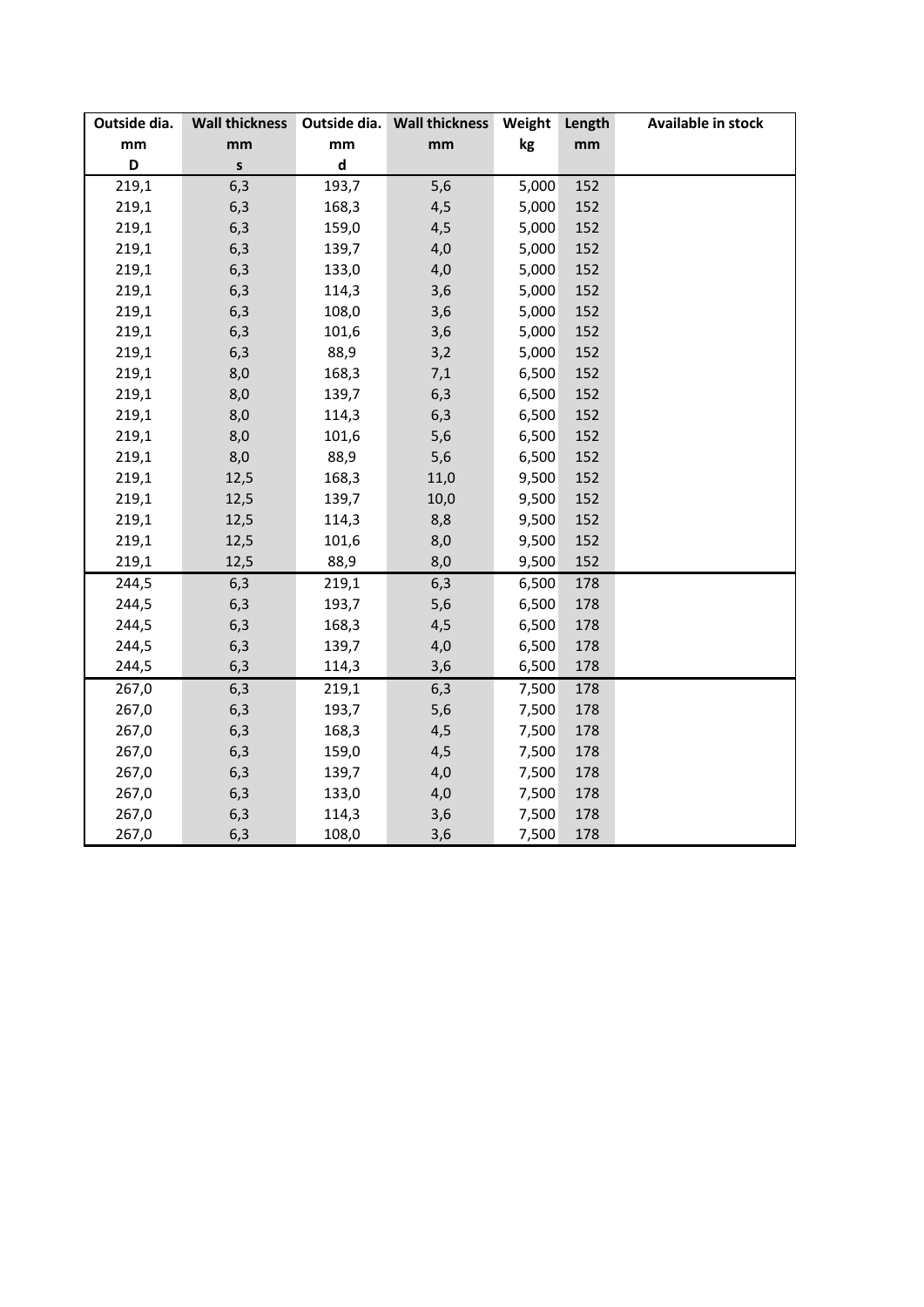| Outside dia. | <b>Wall thickness</b> |              | Outside dia. Wall thickness | Weight | Length | Available in stock |
|--------------|-----------------------|--------------|-----------------------------|--------|--------|--------------------|
| mm           | mm                    | mm           | mm                          | kg     | mm     |                    |
| D            | $\mathsf{s}$          | $\mathsf{d}$ |                             |        |        |                    |
| 219,1        | 6,3                   | 193,7        | 5,6                         | 5,000  | 152    |                    |
| 219,1        | 6,3                   | 168,3        | 4,5                         | 5,000  | 152    |                    |
| 219,1        | 6,3                   | 159,0        | 4,5                         | 5,000  | 152    |                    |
| 219,1        | 6,3                   | 139,7        | 4,0                         | 5,000  | 152    |                    |
| 219,1        | 6,3                   | 133,0        | 4,0                         | 5,000  | 152    |                    |
| 219,1        | 6,3                   | 114,3        | 3,6                         | 5,000  | 152    |                    |
| 219,1        | 6,3                   | 108,0        | 3,6                         | 5,000  | 152    |                    |
| 219,1        | 6,3                   | 101,6        | 3,6                         | 5,000  | 152    |                    |
| 219,1        | 6,3                   | 88,9         | 3,2                         | 5,000  | 152    |                    |
| 219,1        | 8,0                   | 168,3        | 7,1                         | 6,500  | 152    |                    |
| 219,1        | 8,0                   | 139,7        | 6,3                         | 6,500  | 152    |                    |
| 219,1        | 8,0                   | 114,3        | 6,3                         | 6,500  | 152    |                    |
| 219,1        | 8,0                   | 101,6        | 5,6                         | 6,500  | 152    |                    |
| 219,1        | 8,0                   | 88,9         | 5,6                         | 6,500  | 152    |                    |
| 219,1        | 12,5                  | 168,3        | 11,0                        | 9,500  | 152    |                    |
| 219,1        | 12,5                  | 139,7        | 10,0                        | 9,500  | 152    |                    |
| 219,1        | 12,5                  | 114,3        | 8,8                         | 9,500  | 152    |                    |
| 219,1        | 12,5                  | 101,6        | 8,0                         | 9,500  | 152    |                    |
| 219,1        | 12,5                  | 88,9         | 8,0                         | 9,500  | 152    |                    |
| 244,5        | 6,3                   | 219,1        | 6,3                         | 6,500  | 178    |                    |
| 244,5        | 6,3                   | 193,7        | 5,6                         | 6,500  | 178    |                    |
| 244,5        | 6,3                   | 168,3        | 4,5                         | 6,500  | 178    |                    |
| 244,5        | 6,3                   | 139,7        | 4,0                         | 6,500  | 178    |                    |
| 244,5        | 6,3                   | 114,3        | 3,6                         | 6,500  | 178    |                    |
| 267,0        | 6,3                   | 219,1        | 6,3                         | 7,500  | 178    |                    |
| 267,0        | 6,3                   | 193,7        | 5,6                         | 7,500  | 178    |                    |
| 267,0        | 6,3                   | 168,3        | 4,5                         | 7,500  | 178    |                    |
| 267,0        | 6,3                   | 159,0        | 4,5                         | 7,500  | 178    |                    |
| 267,0        | 6,3                   | 139,7        | 4,0                         | 7,500  | 178    |                    |
| 267,0        | 6,3                   | 133,0        | 4,0                         | 7,500  | 178    |                    |
| 267,0        | 6,3                   | 114,3        | 3,6                         | 7,500  | 178    |                    |
| 267,0        | 6,3                   | 108,0        | 3,6                         | 7,500  | 178    |                    |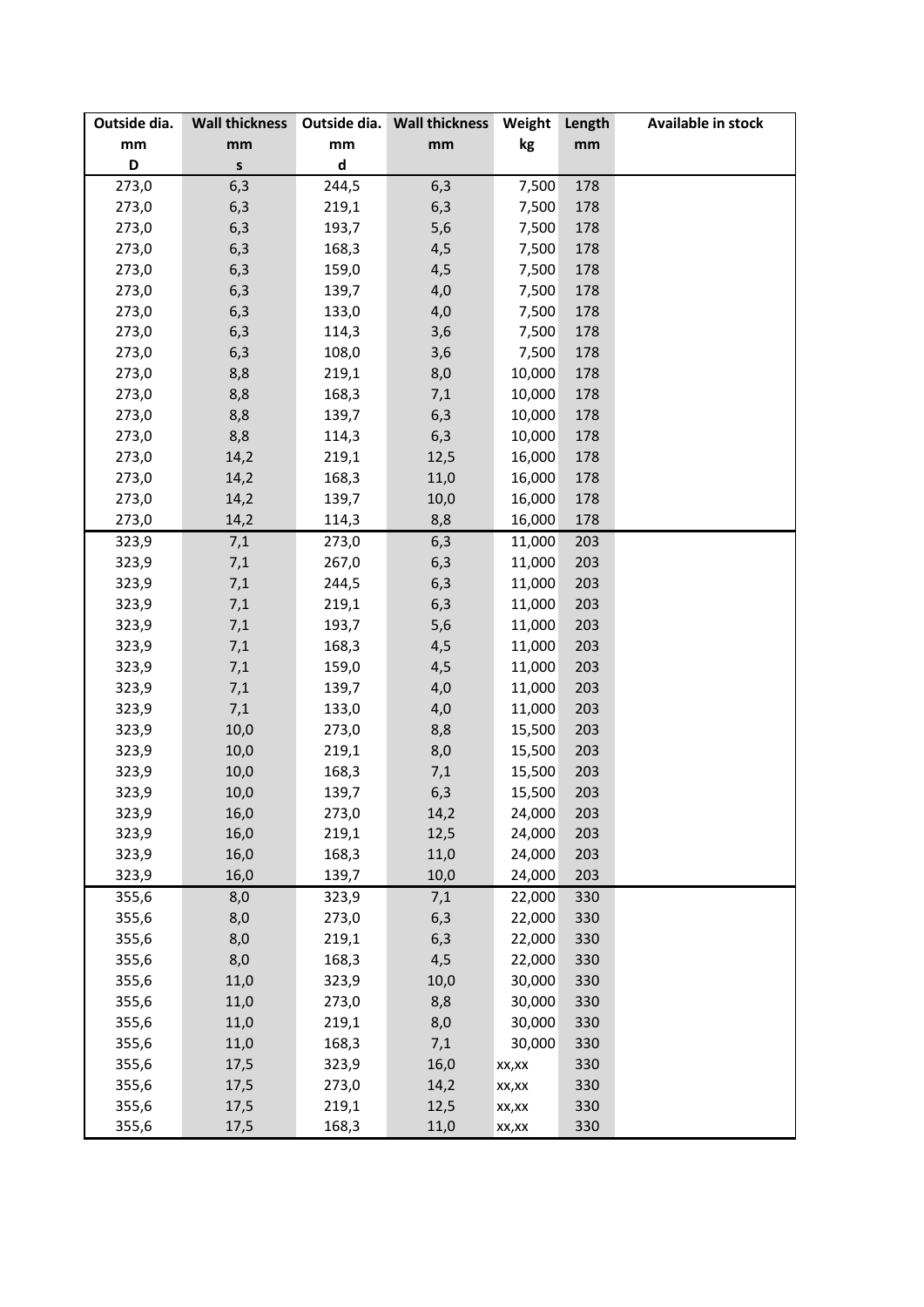| Outside dia. | <b>Wall thickness</b> |                             | Outside dia. Wall thickness | Weight | Length | Available in stock |
|--------------|-----------------------|-----------------------------|-----------------------------|--------|--------|--------------------|
| mm           | mm                    | mm                          | mm                          | kg     | mm     |                    |
| D            | S                     | $\operatorname{\mathsf{d}}$ |                             |        |        |                    |
| 273,0        | 6,3                   | 244,5                       | 6,3                         | 7,500  | 178    |                    |
| 273,0        | 6,3                   | 219,1                       | 6,3                         | 7,500  | 178    |                    |
| 273,0        | 6,3                   | 193,7                       | 5,6                         | 7,500  | 178    |                    |
| 273,0        | 6,3                   | 168,3                       | 4,5                         | 7,500  | 178    |                    |
| 273,0        | 6,3                   | 159,0                       | 4,5                         | 7,500  | 178    |                    |
| 273,0        | 6,3                   | 139,7                       | 4,0                         | 7,500  | 178    |                    |
| 273,0        | 6,3                   | 133,0                       | 4,0                         | 7,500  | 178    |                    |
| 273,0        | 6,3                   | 114,3                       | 3,6                         | 7,500  | 178    |                    |
| 273,0        | 6,3                   | 108,0                       | 3,6                         | 7,500  | 178    |                    |
| 273,0        | 8,8                   | 219,1                       | 8,0                         | 10,000 | 178    |                    |
| 273,0        | 8,8                   | 168,3                       | 7,1                         | 10,000 | 178    |                    |
| 273,0        | 8,8                   | 139,7                       | 6,3                         | 10,000 | 178    |                    |
| 273,0        | 8,8                   | 114,3                       | 6,3                         | 10,000 | 178    |                    |
| 273,0        | 14,2                  | 219,1                       | 12,5                        | 16,000 | 178    |                    |
| 273,0        | 14,2                  | 168,3                       | 11,0                        | 16,000 | 178    |                    |
| 273,0        | 14,2                  | 139,7                       | 10,0                        | 16,000 | 178    |                    |
| 273,0        | 14,2                  | 114,3                       | 8,8                         | 16,000 | 178    |                    |
| 323,9        | 7,1                   | 273,0                       | 6,3                         | 11,000 | 203    |                    |
| 323,9        | 7,1                   | 267,0                       | 6,3                         | 11,000 | 203    |                    |
| 323,9        | 7,1                   | 244,5                       | 6,3                         | 11,000 | 203    |                    |
| 323,9        | 7,1                   | 219,1                       | 6,3                         | 11,000 | 203    |                    |
| 323,9        | 7,1                   | 193,7                       | 5,6                         | 11,000 | 203    |                    |
| 323,9        | 7,1                   | 168,3                       | 4,5                         | 11,000 | 203    |                    |
| 323,9        | 7,1                   | 159,0                       | 4,5                         | 11,000 | 203    |                    |
| 323,9        | 7,1                   | 139,7                       | 4,0                         | 11,000 | 203    |                    |
| 323,9        | 7,1                   | 133,0                       | 4,0                         | 11,000 | 203    |                    |
| 323,9        | 10,0                  | 273,0                       | 8,8                         | 15,500 | 203    |                    |
| 323,9        | 10,0                  | 219,1                       | 8,0                         | 15,500 | 203    |                    |
| 323,9        | 10,0                  | 168,3                       | 7,1                         | 15,500 | 203    |                    |
| 323,9        | 10,0                  | 139,7                       | 6,3                         | 15,500 | 203    |                    |
| 323,9        | 16,0                  | 273,0                       | 14,2                        | 24,000 | 203    |                    |
| 323,9        | 16,0                  | 219,1                       | 12,5                        | 24,000 | 203    |                    |
| 323,9        | 16,0                  | 168,3                       | 11,0                        | 24,000 | 203    |                    |
| 323,9        | 16,0                  | 139,7                       | 10,0                        | 24,000 | 203    |                    |
| 355,6        | 8,0                   | 323,9                       | 7,1                         | 22,000 | 330    |                    |
| 355,6        | 8,0                   | 273,0                       | 6,3                         | 22,000 | 330    |                    |
| 355,6        | 8,0                   | 219,1                       | 6,3                         | 22,000 | 330    |                    |
| 355,6        | 8,0                   | 168,3                       | 4,5                         | 22,000 | 330    |                    |
| 355,6        | 11,0                  | 323,9                       | 10,0                        | 30,000 | 330    |                    |
| 355,6        | 11,0                  | 273,0                       | 8,8                         | 30,000 | 330    |                    |
| 355,6        | 11,0                  | 219,1                       | 8,0                         | 30,000 | 330    |                    |
| 355,6        | 11,0                  | 168,3                       | 7,1                         | 30,000 | 330    |                    |
| 355,6        | 17,5                  | 323,9                       | 16,0                        | XX,XX  | 330    |                    |
| 355,6        | 17,5                  | 273,0                       | 14,2                        | XX,XX  | 330    |                    |
| 355,6        | 17,5                  | 219,1                       | 12,5                        | XX,XX  | 330    |                    |
| 355,6        | 17,5                  | 168,3                       | 11,0                        | XX,XX  | 330    |                    |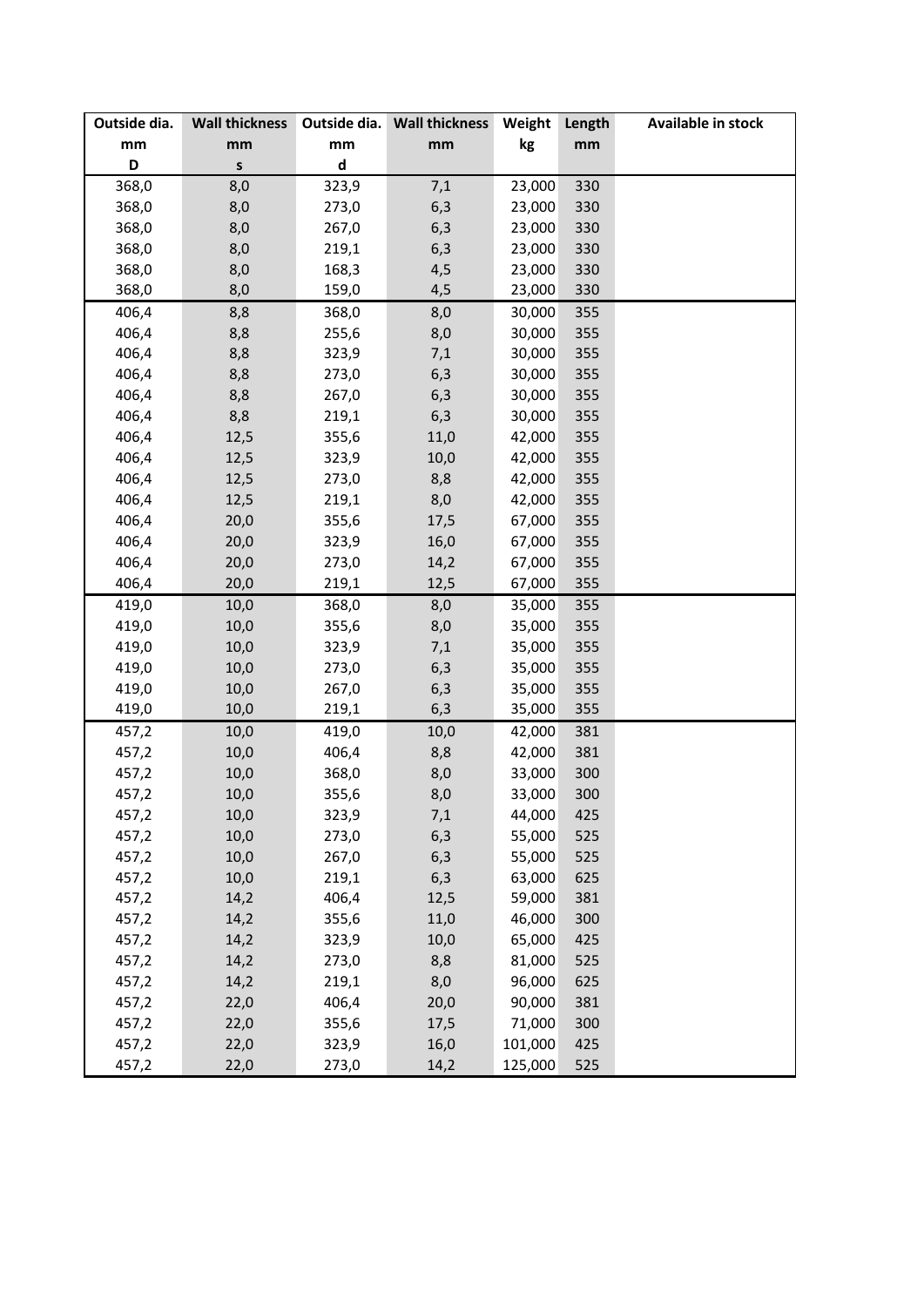| Outside dia. | <b>Wall thickness</b> |                             | Outside dia. Wall thickness | Weight  | Length | Available in stock |
|--------------|-----------------------|-----------------------------|-----------------------------|---------|--------|--------------------|
| mm           | mm                    | mm                          | mm                          | kg      | mm     |                    |
| D            | $\sf{s}$              | $\operatorname{\mathsf{d}}$ |                             |         |        |                    |
| 368,0        | 8,0                   | 323,9                       | 7,1                         | 23,000  | 330    |                    |
| 368,0        | 8,0                   | 273,0                       | 6,3                         | 23,000  | 330    |                    |
| 368,0        | 8,0                   | 267,0                       | 6,3                         | 23,000  | 330    |                    |
| 368,0        | 8,0                   | 219,1                       | 6,3                         | 23,000  | 330    |                    |
| 368,0        | 8,0                   | 168,3                       | 4,5                         | 23,000  | 330    |                    |
| 368,0        | 8,0                   | 159,0                       | 4,5                         | 23,000  | 330    |                    |
| 406,4        | 8,8                   | 368,0                       | 8,0                         | 30,000  | 355    |                    |
| 406,4        | 8,8                   | 255,6                       | 8,0                         | 30,000  | 355    |                    |
| 406,4        | 8,8                   | 323,9                       | 7,1                         | 30,000  | 355    |                    |
| 406,4        | 8,8                   | 273,0                       | 6,3                         | 30,000  | 355    |                    |
| 406,4        | 8,8                   | 267,0                       | 6,3                         | 30,000  | 355    |                    |
| 406,4        | 8,8                   | 219,1                       | 6,3                         | 30,000  | 355    |                    |
| 406,4        | 12,5                  | 355,6                       | 11,0                        | 42,000  | 355    |                    |
| 406,4        | 12,5                  | 323,9                       | 10,0                        | 42,000  | 355    |                    |
| 406,4        | 12,5                  | 273,0                       | 8,8                         | 42,000  | 355    |                    |
| 406,4        | 12,5                  | 219,1                       | 8,0                         | 42,000  | 355    |                    |
| 406,4        | 20,0                  | 355,6                       | 17,5                        | 67,000  | 355    |                    |
| 406,4        | 20,0                  | 323,9                       | 16,0                        | 67,000  | 355    |                    |
| 406,4        | 20,0                  | 273,0                       | 14,2                        | 67,000  | 355    |                    |
| 406,4        | 20,0                  | 219,1                       | 12,5                        | 67,000  | 355    |                    |
| 419,0        | 10,0                  | 368,0                       | 8,0                         | 35,000  | 355    |                    |
| 419,0        | 10,0                  | 355,6                       | 8,0                         | 35,000  | 355    |                    |
| 419,0        | 10,0                  | 323,9                       | 7,1                         | 35,000  | 355    |                    |
| 419,0        | 10,0                  | 273,0                       | 6,3                         | 35,000  | 355    |                    |
| 419,0        | 10,0                  | 267,0                       | 6,3                         | 35,000  | 355    |                    |
| 419,0        | 10,0                  | 219,1                       | 6,3                         | 35,000  | 355    |                    |
| 457,2        | 10,0                  | 419,0                       | 10,0                        | 42,000  | 381    |                    |
| 457,2        | 10,0                  | 406,4                       | 8,8                         | 42,000  | 381    |                    |
| 457,2        | 10,0                  | 368,0                       | 8,0                         | 33,000  | 300    |                    |
| 457,2        | 10,0                  | 355,6                       | 8,0                         | 33,000  | 300    |                    |
| 457,2        | 10,0                  | 323,9                       | 7,1                         | 44,000  | 425    |                    |
| 457,2        | 10,0                  | 273,0                       | 6,3                         | 55,000  | 525    |                    |
| 457,2        | 10,0                  | 267,0                       | 6,3                         | 55,000  | 525    |                    |
| 457,2        | 10,0                  | 219,1                       | 6,3                         | 63,000  | 625    |                    |
| 457,2        | 14,2                  | 406,4                       | 12,5                        | 59,000  | 381    |                    |
| 457,2        | 14,2                  | 355,6                       | 11,0                        | 46,000  | 300    |                    |
| 457,2        | 14,2                  | 323,9                       | 10,0                        | 65,000  | 425    |                    |
| 457,2        | 14,2                  | 273,0                       | 8,8                         | 81,000  | 525    |                    |
| 457,2        | 14,2                  | 219,1                       | 8,0                         | 96,000  | 625    |                    |
| 457,2        | 22,0                  | 406,4                       | 20,0                        | 90,000  | 381    |                    |
| 457,2        | 22,0                  | 355,6                       | 17,5                        | 71,000  | 300    |                    |
| 457,2        | 22,0                  | 323,9                       | 16,0                        | 101,000 | 425    |                    |
| 457,2        | 22,0                  | 273,0                       | 14,2                        | 125,000 | 525    |                    |